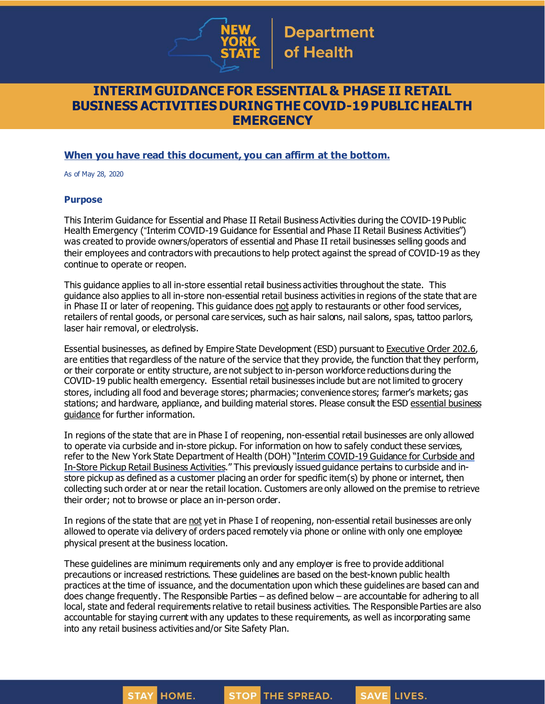

## **INTERIM GUIDANCE FOR ESSENTIAL & PHASE II RETAIL BUSINESS ACTIVITIESDURING THECOVID-19PUBLIC HEALTH EMERGENCY**

## **When you have read this document, you can affirm at the bottom.**

As of May 28, 2020

**STAY** 

**HOME.** 

#### **Purpose**

This Interim Guidance for Essential and Phase II Retail Business Activities during the COVID-19 Public Health Emergency ("Interim COVID-19 Guidance for Essential and Phase II Retail Business Activities") was created to provide owners/operators of essential and Phase II retail businesses selling goods and their employees and contractors with precautions to help protect against the spread of COVID-19 as they continue to operate or reopen.

This guidance applies to all in-store essential retail business activities throughout the state. This guidance also applies to all in-store non-essential retail business activities in regions of the state that are in Phase II or later of reopening. This guidance does not apply to restaurants or other food services, retailers of rental goods, or personal care services, such as hair salons, nail salons, spas, tattoo parlors, laser hair removal, or electrolysis.

Essential businesses, as defined by Empire State Development (ESD) pursuant to [Executive](https://www.governor.ny.gov/news/no-2026-continuing-temporary-suspension-and-modification-laws-relating-disaster-emergency) Order 202.6, are entities that regardless of the nature of the service that they provide, the function that they perform, or their corporate or entity structure, are not subject to in-person workforce reductions during the COVID-19 public health emergency. Essential retail businesses include but are not limited to grocery stores, including all food and beverage stores; pharmacies; convenience stores; farmer's markets; gas stations; and hardware, appliance, and building material stores. Please consult the ESD [essential](https://esd.ny.gov/guidance-executive-order-2026) business [guidance](https://esd.ny.gov/guidance-executive-order-2026) for further information.

In regions of the state that are in Phase I of reopening, non-essential retail businesses are only allowed to operate via curbside and in-store pickup. For information on how to safely conduct these services, refer to the New York State Department of Health (DOH) "Interim [COVID-19](https://www.governor.ny.gov/sites/governor.ny.gov/files/atoms/files/CurbsideInStoreRetailMasterGuidance.pdf) Guidance for Curbside and In-Store Pickup Retail Business [Activities](https://www.governor.ny.gov/sites/governor.ny.gov/files/atoms/files/CurbsideInStoreRetailMasterGuidance.pdf)." This previously issued guidance pertains to curbside and instore pickup as defined as a customer placing an order for specific item(s) by phone or internet, then collecting such order at or near the retail location. Customers are only allowed on the premise to retrieve their order; not to browse or place an in-person order.

In regions of the state that are not yet in Phase I of reopening, non-essential retail businesses are only allowed to operate via delivery of orders paced remotely via phone or online with only one employee physical present at the business location.

These guidelines are minimum requirements only and any employer is free to provide additional precautions or increased restrictions. These guidelines are based on the best-known public health practices at the time of issuance, and the documentation upon which these guidelines are based can and does change frequently. The Responsible Parties – as defined below – are accountable for adhering to all local, state and federal requirements relative to retail business activities. The Responsible Parties are also accountable for staying current with any updates to these requirements, as well as incorporating same into any retail business activities and/or Site Safety Plan.

**STOP THE SPREAD.**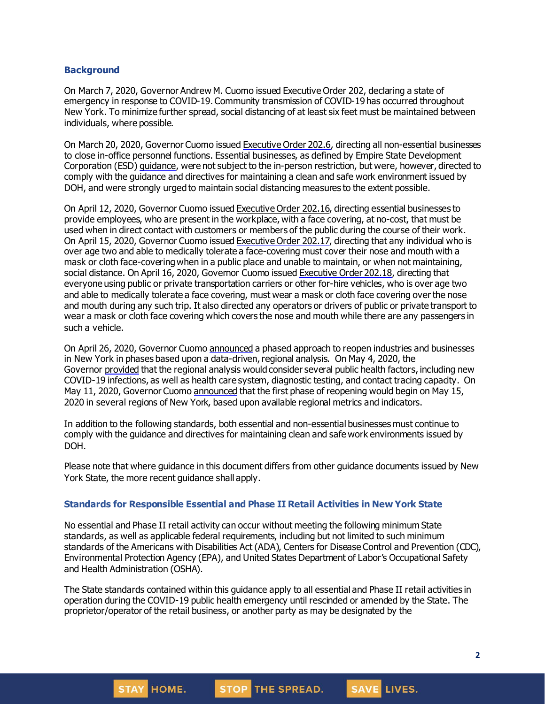#### **Background**

On March 7, 2020, Governor Andrew M. Cuomo issued [Executive](https://www.governor.ny.gov/news/no-202-declaring-disaster-emergency-state-new-york) Order 202, declaring a state of emergency in response to COVID-19. Community transmission of COVID-19 has occurred throughout New York. To minimize further spread, social distancing of at least six feet must be maintained between individuals, where possible.

On March 20, 2020, Governor Cuomo issued [Executive](https://www.governor.ny.gov/news/no-2026-continuing-temporary-suspension-and-modification-laws-relating-disaster-emergency) Order 202.6, directing all non-essential businesses to close in-office personnel functions. Essential businesses, as defined by Empire State Development Corporation (ESD) [guidance](https://esd.ny.gov/guidance-executive-order-2026), were not subject to the in-person restriction, but were, however, directed to comply with the guidance and directives for maintaining a clean and safe work environment issued by DOH, and were strongly urged to maintain social distancing measures to the extent possible.

On April 12, 2020, Governor Cuomo issued [Executive](https://www.governor.ny.gov/news/no-20216-continuing-temporary-suspension-and-modification-laws-relating-disaster-emergency) Order 202.16, directing essential businesses to provide employees, who are present in the workplace, with a face covering, at no-cost, that must be used when in direct contact with customers or members of the public during the course of their work. On April 15, 2020, Governor Cuomo issued [Executive](https://www.governor.ny.gov/news/no-20217-continuing-temporary-suspension-and-modification-laws-relating-disaster-emergency) Order 202.17, directing that any individual who is over age two and able to medically tolerate a face-covering must cover their nose and mouth with a mask or cloth face-coveringwhen in a public place and unable to maintain, or when not maintaining, social distance. On April 16, 2020, Governor Cuomo issued [Executive](https://www.governor.ny.gov/news/no-20218-continuing-temporary-suspension-and-modification-laws-relating-disaster-emergency) Order 202.18, directing that everyone using public or private transportation carriers or other for-hire vehicles, who is over age two and able to medically tolerate a face covering, must wear a mask or cloth face covering over the nose and mouth during any such trip. It also directed any operators or drivers of public or private transport to wear a mask or cloth face covering which covers the nose and mouth while there are any passengers in such a vehicle.

On April 26, 2020, Governor Cuomo [announced](https://www.governor.ny.gov/news/amid-ongoing-covid-19-pandemic-governor-cuomo-outlines-phased-plan-re-open-new-york-starting) a phased approach to reopen industries and businesses in New York in phases based upon a data-driven,regional analysis. On May 4, 2020, the Governor [provided](https://www.governor.ny.gov/news/amid-ongoing-covid-19-pandemic-governor-cuomo-outlines-additional-guidelines-when-regions-can) that the regional analysis would consider several public health factors, including new COVID-19 infections, as well as health care system, diagnostic testing, and contact tracing capacity. On May 11, 2020, Governor Cuomo [announced](https://www.governor.ny.gov/news/amid-ongoing-covid-19-pandemic-governor-cuomo-announces-three-regions-new-york-state-ready) that the first phase of reopening would begin on May 15, 2020 in several regions of New York, based upon available regional metrics and indicators.

In addition to the following standards, both essential and non-essential businesses must continue to comply with the guidance and directives for maintaining clean and safe work environments issued by DOH.

Please note that where guidance in this document differs from other guidance documents issued by New York State, the more recent guidance shall apply.

#### **Standards for Responsible Essential and Phase II Retail Activities in New York State**

No essential and Phase II retail activity can occur without meeting the following minimum State standards, as well as applicable federal requirements, including but not limited to such minimum standards of the Americans with Disabilities Act (ADA), Centers for Disease Control and Prevention (CDC), Environmental Protection Agency (EPA), and United States Department of Labor's Occupational Safety and Health Administration (OSHA).

The State standards contained within this guidance apply to all essential and Phase II retail activities in operation during the COVID-19 public health emergency until rescinded or amended by the State. The proprietor/operator of the retail business, or another party as may be designated by the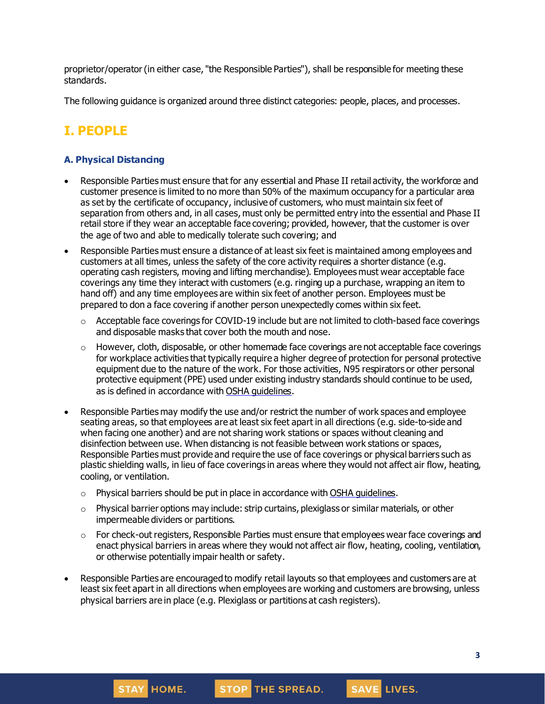proprietor/operator(in either case, "the Responsible Parties"), shall be responsible for meeting these standards.

The following guidance is organized around three distinct categories: people, places, and processes.

# **I. PEOPLE**

## **A. Physical Distancing**

- Responsible Parties must ensure that for any essential and Phase II retail activity, the workforce and customer presence is limited to no more than 50% of the maximum occupancy for a particular area as set by the certificate of occupancy, inclusive of customers, who must maintain six feet of separation from others and, in all cases, must only be permitted entry into the essential and Phase II retail store if they wear an acceptable face covering; provided, however, that the customer is over the age of two and able to medically tolerate such covering; and
- Responsible Parties must ensure a distance of at least six feet is maintained among employees and customers at all times, unless the safety of the core activity requires a shorter distance (e.g. operating cash registers, moving and lifting merchandise). Employees must wear acceptable face coverings any time they interact with customers (e.g. ringing up a purchase, wrapping an item to hand off) and any time employees are within six feet of another person. Employees must be prepared to don a face covering if another person unexpectedly comes within six feet.
	- $\circ$  Acceptable face coverings for COVID-19 include but are not limited to cloth-based face coverings and disposable masks that cover both the mouth and nose.
	- $\circ$  However, cloth, disposable, or other homemade face coverings are not acceptable face coverings for workplace activities that typically require a higher degree of protection for personal protective equipment due to the nature of the work. For those activities, N95 respirators or other personal protective equipment (PPE) used under existing industry standards should continue to be used, as is defined in accordance with OSHA [guidelines](https://www.osha.gov/SLTC/personalprotectiveequipment/).
- Responsible Parties may modify the use and/or restrict the number of work spaces and employee seating areas, so that employees are at least six feet apart in all directions (e.g. side-to-side and when facing one another) and are not sharing work stations or spaces without cleaning and disinfection between use. When distancing is not feasible between work stations or spaces, Responsible Parties must provide and require the use of face coverings or physical barriers such as plastic shielding walls, in lieu of face coverings in areas where they would not affect air flow, heating, cooling, or ventilation.
	- $\circ$  Physical barriers should be put in place in accordance with OSHA [guidelines](https://www.osha.gov/Publications/OSHA3990.pdf).
	- o Physical barrier options may include: strip curtains, plexiglass or similar materials, or other impermeable dividers or partitions.
	- $\circ$  For check-out registers, Responsible Parties must ensure that employees wear face coverings and enact physical barriers in areas where they would not affect air flow, heating, cooling, ventilation, or otherwise potentially impair health or safety.
- Responsible Parties are encouraged to modify retail layouts so that employees and customers are at least six feet apart in all directions when employees are working and customers are browsing, unless physical barriers are in place (e.g. Plexiglass or partitions at cash registers).

STOP THE SPREAD.

**STAY HOME.**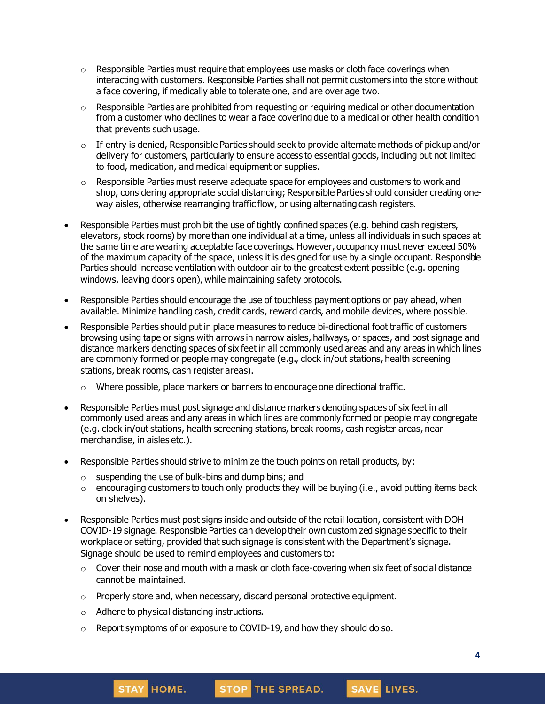- $\circ$  Responsible Parties must require that employees use masks or cloth face coverings when interacting with customers. Responsible Parties shall not permit customers into the store without a face covering, if medically able to tolerate one, and are over age two.
- $\circ$  Responsible Parties are prohibited from requesting or requiring medical or other documentation from a customer who declines to wear a face covering due to a medical or other health condition that prevents such usage.
- $\circ$  If entry is denied, Responsible Parties should seek to provide alternate methods of pickup and/or delivery for customers, particularly to ensure access to essential goods, including but not limited to food, medication, and medical equipment or supplies.
- $\circ$  Responsible Parties must reserve adequate space for employees and customers to work and shop, considering appropriate social distancing; Responsible Parties should consider creating oneway aisles, otherwise rearranging traffic flow, or using alternating cash registers.
- Responsible Parties must prohibit the use of tightly confined spaces (e.g. behind cash registers, elevators, stock rooms) by more than one individual at a time, unless all individuals in such spaces at the same time are wearing acceptable face coverings. However, occupancy must never exceed 50% of the maximum capacity of the space, unless it is designed for use by a single occupant. Responsible Parties should increase ventilation with outdoor air to the greatest extent possible (e.g. opening windows, leaving doors open), while maintaining safety protocols.
- Responsible Parties should encourage the use of touchless payment options or pay ahead, when available. Minimize handling cash, credit cards, reward cards, and mobile devices, where possible.
- Responsible Parties should put in place measures to reduce bi-directional foot traffic of customers browsing using tape or signs with arrows in narrow aisles, hallways, or spaces, and post signage and distance markers denoting spaces of six feet in all commonly used areas and any areas in which lines are commonly formed or people may congregate (e.g., clock in/out stations, health screening stations, break rooms, cash register areas).
	- o Where possible, place markers or barriers to encourage one directional traffic.
- Responsible Parties must post signage and distance markers denoting spaces of six feet in all commonly used areas and any areas in which lines are commonly formed or people may congregate (e.g. clock in/out stations, health screening stations, break rooms, cash register areas, near merchandise, in aisles etc.).
- Responsible Parties should strive to minimize the touch points on retail products, by:
	- o suspending the use of bulk-bins and dump bins; and
	- o encouraging customers to touch only products they will be buying (i.e., avoid putting items back on shelves).
- Responsible Parties must post signs inside and outside of the retail location, consistent with DOH COVID-19 signage. Responsible Parties can develop their own customized signage specific to their workplace or setting, provided that such signage is consistent with the Department's signage. Signage should be used to remind employees and customers to:
	- $\circ$  Cover their nose and mouth with a mask or cloth face-covering when six feet of social distance cannot be maintained.

STOP THE SPREAD.

- o Properly store and, when necessary, discard personal protective equipment.
- o Adhere to physical distancing instructions.

**STAY HOME.** 

o Report symptoms of or exposure to COVID-19, and how they should do so.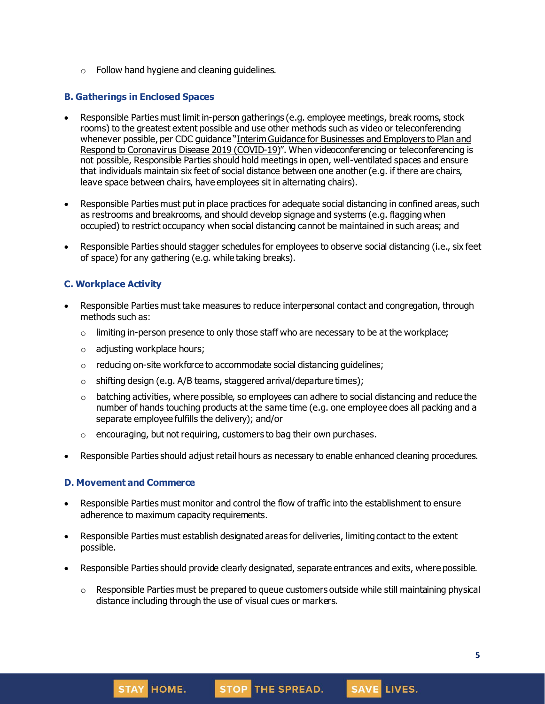$\circ$  Follow hand hygiene and cleaning guidelines.

### **B. Gatherings in Enclosed Spaces**

- Responsible Parties must limit in-person gatherings (e.g. employee meetings, break rooms, stock rooms) to the greatest extent possible and use other methods such as video or teleconferencing whenever possible, per CDC guidance "Interim Guidance for [Businesses](https://www.cdc.gov/coronavirus/2019-ncov/community/guidance-business-response.html) and Employers to Plan and Respond to [Coronavirus](https://www.cdc.gov/coronavirus/2019-ncov/community/guidance-business-response.html) Disease 2019 (COVID-19)". When videoconferencing or teleconferencing is not possible, Responsible Parties should hold meetings in open, well-ventilated spaces and ensure that individuals maintain six feet of social distance between one another(e.g. if there are chairs, leave space between chairs, have employees sit in alternating chairs).
- Responsible Parties must put in place practices for adequate social distancing in confined areas, such as restrooms and breakrooms, and should develop signage and systems (e.g. flaggingwhen occupied) to restrict occupancy when social distancing cannot be maintained in such areas; and
- Responsible Parties should stagger schedules for employees to observe social distancing (i.e., six feet of space) for any gathering (e.g. while taking breaks).

### **C. Workplace Activity**

- Responsible Parties must take measures to reduce interpersonal contact and congregation, through methods such as:
	- $\circ$  limiting in-person presence to only those staff who are necessary to be at the workplace;
	- o adjusting workplace hours;
	- o reducing on-site workforce to accommodate social distancing guidelines;
	- $\circ$  shifting design (e.g. A/B teams, staggered arrival/departure times);
	- $\circ$  batching activities, where possible, so employees can adhere to social distancing and reduce the number of hands touching products at the same time (e.g. one employee does all packing and a separate employee fulfills the delivery); and/or
	- $\circ$  encouraging, but not requiring, customers to bag their own purchases.
- Responsible Parties should adjust retail hours as necessary to enable enhanced cleaning procedures.

### **D. Movement and Commerce**

- Responsible Parties must monitor and control the flow of traffic into the establishment to ensure adherence to maximum capacity requirements.
- Responsible Parties must establish designated areas for deliveries, limiting contact to the extent possible.
- Responsible Parties should provide clearly designated, separate entrances and exits, where possible.
	- $\circ$  Responsible Parties must be prepared to queue customers outside while still maintaining physical distance including through the use of visual cues or markers.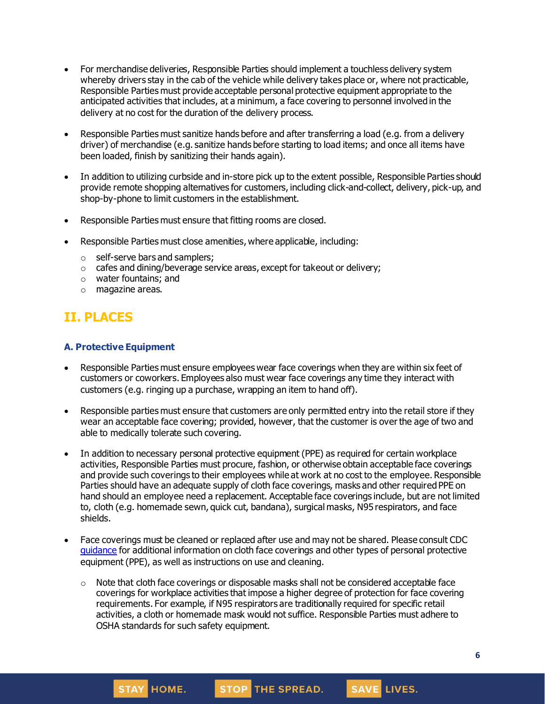- For merchandise deliveries, Responsible Parties should implement a touchless delivery system whereby drivers stay in the cab of the vehicle while delivery takes place or, where not practicable, Responsible Parties must provide acceptable personal protective equipment appropriate to the anticipated activities that includes, at a minimum, a face covering to personnel involved in the delivery at no cost for the duration of the delivery process.
- Responsible Parties must sanitize hands before and after transferring a load (e.g. from a delivery driver) of merchandise (e.g. sanitize hands before starting to load items; and once all items have been loaded, finish by sanitizing their hands again).
- In addition to utilizing curbside and in-store pick up to the extent possible, Responsible Parties should provide remote shopping alternatives for customers, including click-and-collect, delivery, pick-up, and shop-by-phone to limit customers in the establishment.
- Responsible Parties must ensure that fitting rooms are closed.
- Responsible Parties must close amenities, where applicable, including:
	- o self-serve bars and samplers;

HOME.

**STAY** 

- o cafes and dining/beverage service areas, except for takeout or delivery;
- o water fountains; and
- o magazine areas.

## **II. PLACES**

### **A. Protective Equipment**

- Responsible Parties must ensure employees wear face coverings when they are within six feet of customers or coworkers. Employees also must wear face coverings any time they interact with customers (e.g. ringing up a purchase, wrapping an item to hand off).
- Responsible parties must ensure that customers are only permitted entry into the retail store if they wear an acceptable face covering; provided, however, that the customer is over the age of two and able to medically tolerate such covering.
- In addition to necessary personal protective equipment (PPE) as required for certain workplace activities, Responsible Parties must procure, fashion, or otherwise obtain acceptable face coverings and provide such coverings to their employees while at work at no cost to the employee. Responsible Parties should have an adequate supply of cloth face coverings, masks and other required PPE on hand should an employee need a replacement. Acceptable face coverings include, but are not limited to, cloth (e.g. homemade sewn, quick cut, bandana), surgical masks, N95 respirators, and face shields.
- Face coverings must be cleaned or replaced after use and may not be shared. Please consult CDC [guidance](https://www.cdc.gov/coronavirus/2019-ncov/community/guidance-business-response.html) for additional information on cloth face coverings and other types of personal protective equipment (PPE), as well as instructions on use and cleaning.
	- $\circ$  Note that cloth face coverings or disposable masks shall not be considered acceptable face coverings for workplace activities that impose a higher degree of protection for face covering requirements. For example, if N95 respirators are traditionally required for specific retail activities, a cloth or homemade mask would not suffice. Responsible Parties must adhere to OSHA standards for such safety equipment.

STOP THE SPREAD.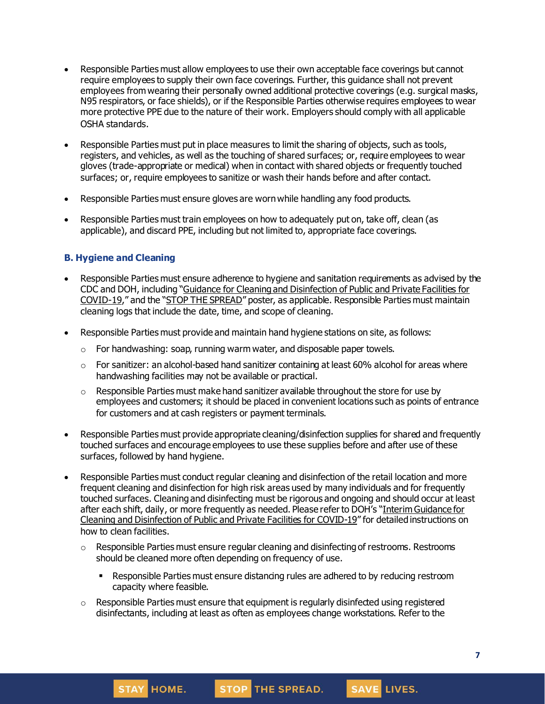- Responsible Parties must allow employees to use their own acceptable face coverings but cannot require employees to supply their own face coverings. Further, this guidance shall not prevent employees from wearing their personally owned additional protective coverings (e.g. surgical masks, N95 respirators, or face shields), or if the Responsible Parties otherwise requires employees to wear more protective PPE due to the nature of their work. Employers should comply with all applicable OSHA standards.
- Responsible Parties must put in place measures to limit the sharing of objects, such as tools, registers, and vehicles, as well as the touching of shared surfaces; or, require employees to wear gloves (trade-appropriate or medical) when in contact with shared objects or frequently touched surfaces; or, require employees to sanitize or wash their hands before and after contact.
- Responsible Parties must ensure gloves are wornwhile handling any food products.
- Responsible Parties must train employees on how to adequately put on, take off, clean (as applicable), and discard PPE, including but not limited to, appropriate face coverings.

### **B. Hygiene and Cleaning**

- Responsible Parties must ensure adherence to hygiene and sanitation requirements as advised by the CDC and DOH, including "Guidance for Cleaning and [Disinfection](https://coronavirus.health.ny.gov/system/files/documents/2020/03/cleaning_guidance_general_building.pdf) of Public and Private Facilities for [COVID-19](https://coronavirus.health.ny.gov/system/files/documents/2020/03/cleaning_guidance_general_building.pdf)," and the "STOP THE [SPREAD](https://coronavirus.health.ny.gov/system/files/documents/2020/04/13067_coronavirus_protectyourself_poster_042020.pdf)" poster, as applicable. Responsible Parties must maintain cleaning logs that include the date, time, and scope of cleaning.
- Responsible Parties must provide and maintain hand hygiene stations on site, as follows:
	- $\circ$  For handwashing: soap, running warm water, and disposable paper towels.
	- $\circ$  For sanitizer: an alcohol-based hand sanitizer containing at least 60% alcohol for areas where handwashing facilities may not be available or practical.
	- $\circ$  Responsible Parties must make hand sanitizer available throughout the store for use by employees and customers; it should be placed in convenient locations such as points of entrance for customers and at cash registers or payment terminals.
- Responsible Parties must provide appropriate cleaning/disinfection supplies for shared and frequently touched surfaces and encourage employees to use these supplies before and after use of these surfaces, followed by hand hygiene.
- Responsible Parties must conduct regular cleaning and disinfection of the retail location and more frequent cleaning and disinfection for high risk areas used by many individuals and for frequently touched surfaces. Cleaning and disinfecting must be rigorous and ongoing and should occur at least after each shift, daily, or more frequently as needed. Please refer to DOH's "Interim [Guidance](https://coronavirus.health.ny.gov/system/files/documents/2020/03/cleaning_guidance_general_building.pdf) for Cleaning and [Disinfection](https://coronavirus.health.ny.gov/system/files/documents/2020/03/cleaning_guidance_general_building.pdf) of Public and Private Facilities for COVID-19" for detailed instructions on how to clean facilities.
	- $\circ$  Responsible Parties must ensure regular cleaning and disinfecting of restrooms. Restrooms should be cleaned more often depending on frequency of use.
		- Responsible Parties must ensure distancing rules are adhered to by reducing restroom capacity where feasible.
	- $\circ$  Responsible Parties must ensure that equipment is regularly disinfected using registered disinfectants, including at least as often as employees change workstations. Refer to the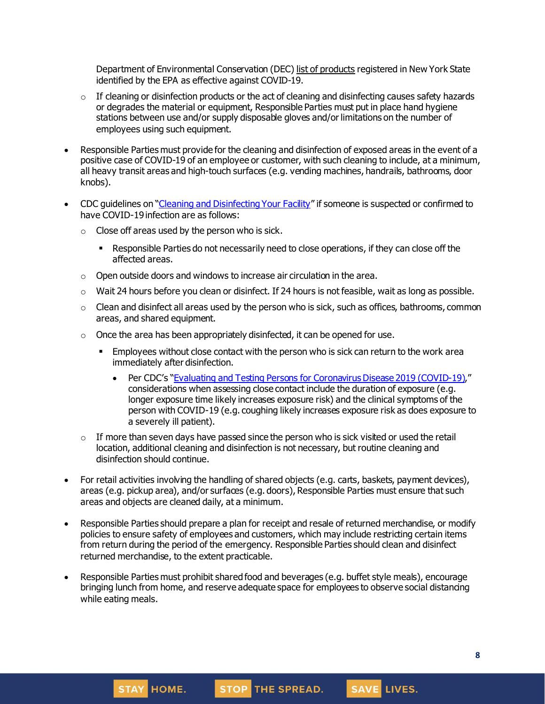Department of Environmental Conservation (DEC) list of [products](http://www.dec.ny.gov/docs/materials_minerals_pdf/covid19.pdf) registered in New York State identified by the EPA as effective against COVID-19.

- $\circ$  If cleaning or disinfection products or the act of cleaning and disinfecting causes safety hazards or degrades the material or equipment, Responsible Parties must put in place hand hygiene stations between use and/or supply disposable gloves and/or limitations on the number of employees using such equipment.
- Responsible Parties must provide for the cleaning and disinfection of exposed areas in the event of a positive case of COVID-19 of an employee or customer, with such cleaning to include, at a minimum, all heavy transit areas and high-touch surfaces (e.g. vending machines, handrails, bathrooms, door knobs).
- CDC guidelines on "Cleaning and [Disinfecting](https://www.cdc.gov/coronavirus/2019-ncov/community/disinfecting-building-facility.html) Your Facility" if someone is suspected or confirmed to have COVID-19 infection are as follows:
	- $\circ$  Close off areas used by the person who is sick.
		- Responsible Parties do not necessarily need to close operations, if they can close off the affected areas.
	- o Open outside doors and windows to increase air circulation in the area.
	- $\circ$  Wait 24 hours before you clean or disinfect. If 24 hours is not feasible, wait as long as possible.
	- $\circ$  Clean and disinfect all areas used by the person who is sick, such as offices, bathrooms, common areas, and shared equipment.
	- $\circ$  Once the area has been appropriately disinfected, it can be opened for use.
		- **Employees without close contact with the person who is sick can return to the work area** immediately after disinfection.
			- Per CDC's "Evaluating and Testing Persons for [Coronavirus](https://www.cdc.gov/coronavirus/2019-ncov/hcp/clinical-criteria.html) Disease 2019 (COVID-19)." considerations when assessing close contact include the duration of exposure (e.g. longer exposure time likely increases exposure risk) and the clinical symptoms of the person with COVID-19 (e.g. coughing likely increases exposure risk as does exposure to a severely ill patient).
	- $\circ$  If more than seven days have passed since the person who is sick visited or used the retail location, additional cleaning and disinfection is not necessary, but routine cleaning and disinfection should continue.
- For retail activities involving the handling of shared objects (e.g. carts, baskets, payment devices), areas (e.g. pickup area), and/or surfaces (e.g. doors), Responsible Parties must ensure that such areas and objects are cleaned daily, at a minimum.
- Responsible Parties should prepare a plan for receipt and resale of returned merchandise, or modify policies to ensure safety of employees and customers, which may include restricting certain items from return during the period of the emergency. Responsible Parties should clean and disinfect returned merchandise, to the extent practicable.
- Responsible Parties must prohibit shared food and beverages (e.g. buffet style meals), encourage bringing lunch from home, and reserve adequate space for employees to observe social distancing while eating meals.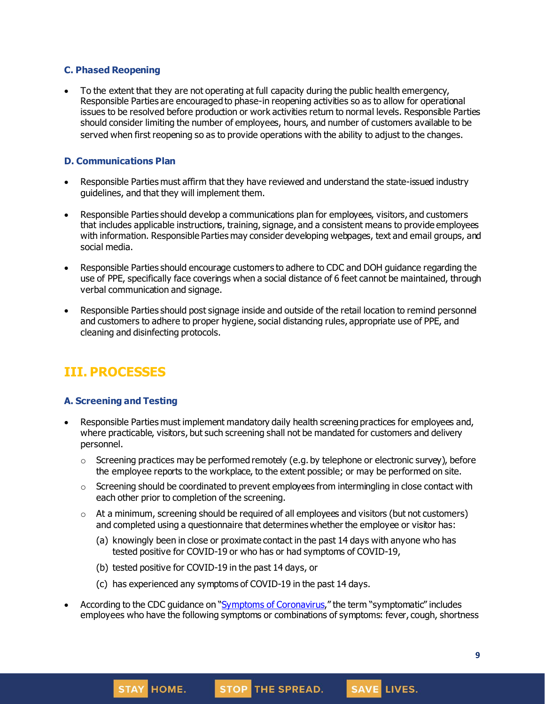### **C. Phased Reopening**

• To the extent that they are not operating at full capacity during the public health emergency, Responsible Parties are encouraged to phase-in reopening activities so as to allow for operational issues to be resolved before production or work activities return to normal levels. Responsible Parties should consider limiting the number of employees, hours, and number of customers available to be served when first reopening so as to provide operations with the ability to adjust to the changes.

### **D. Communications Plan**

- Responsible Parties must affirm that they have reviewed and understand the state-issued industry guidelines, and that they will implement them.
- Responsible Parties should develop a communications plan for employees, visitors, and customers that includes applicable instructions, training, signage, and a consistent means to provide employees with information. Responsible Parties may consider developing webpages, text and email groups, and social media.
- Responsible Parties should encourage customers to adhere to CDC and DOH guidance regarding the use of PPE, specifically face coverings when a social distance of 6 feet cannot be maintained, through verbal communication and signage.
- Responsible Parties should post signage inside and outside of the retail location to remind personnel and customers to adhere to proper hygiene, social distancing rules, appropriate use of PPE, and cleaning and disinfecting protocols.

# **III. PROCESSES**

### **A. Screening and Testing**

- Responsible Parties must implement mandatory daily health screening practices for employees and, where practicable, visitors, but such screening shall not be mandated for customers and delivery personnel.
	- $\circ$  Screening practices may be performed remotely (e.g. by telephone or electronic survey), before the employee reports to the workplace, to the extent possible; or may be performed on site.
	- $\circ$  Screening should be coordinated to prevent employees from intermingling in close contact with each other prior to completion of the screening.
	- $\circ$  At a minimum, screening should be required of all employees and visitors (but not customers) and completed using a questionnaire that determines whether the employee or visitor has:
		- (a) knowingly been in close or proximate contact in the past 14 days with anyone who has tested positive for COVID-19 or who has or had symptoms of COVID-19,
		- (b) tested positive for COVID-19 in the past 14 days, or

**STAY HOME.** 

- (c) has experienced any symptoms of COVID-19 in the past 14 days.
- According to the CDC guidance on "Symptoms of [Coronavirus](https://www.cdc.gov/coronavirus/2019-ncov/symptoms-testing/symptoms.html)," the term "symptomatic" includes employees who have the following symptoms or combinations of symptoms: fever, cough, shortness

STOP THE SPREAD.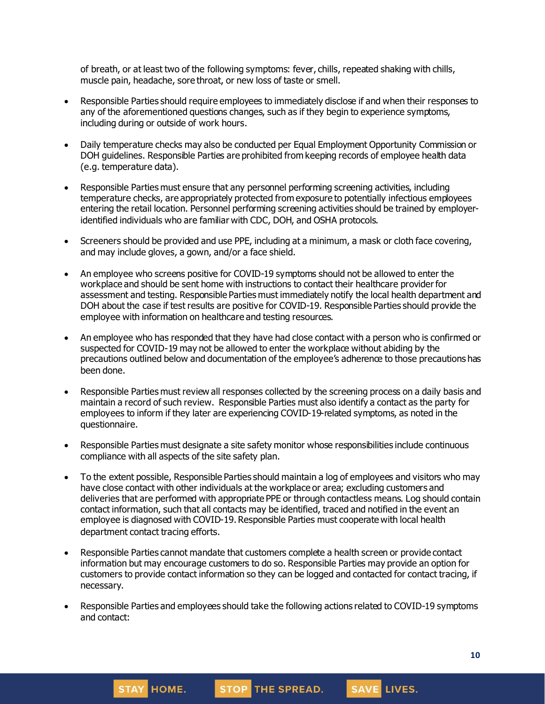of breath, or at least two of the following symptoms: fever, chills, repeated shaking with chills, muscle pain, headache, sore throat, or new loss of taste or smell.

- Responsible Parties should require employees to immediately disclose if and when their responses to any of the aforementioned questions changes, such as if they begin to experience symptoms, including during or outside of work hours.
- Daily temperature checks may also be conducted per Equal Employment Opportunity Commission or DOH guidelines. Responsible Parties are prohibited from keeping records of employee health data (e.g. temperature data).
- Responsible Parties must ensure that any personnel performing screening activities, including temperature checks, are appropriately protected from exposure to potentially infectious employees entering the retail location. Personnel performing screening activities should be trained by employeridentified individuals who are familiar with CDC, DOH, and OSHA protocols.
- Screeners should be provided and use PPE, including at a minimum, a mask or cloth face covering, and may include gloves, a gown, and/or a face shield.
- An employee who screens positive for COVID-19 symptoms should not be allowed to enter the workplace and should be sent home with instructions to contact their healthcare provider for assessment and testing. Responsible Parties must immediately notify the local health department and DOH about the case if test results are positive for COVID-19. Responsible Parties should provide the employee with information on healthcare and testing resources.
- An employee who has responded that they have had close contact with a person who is confirmed or suspected for COVID-19 may not be allowed to enter the workplace without abiding by the precautions outlined below and documentation of the employee's adherence to those precautions has been done.
- Responsible Parties must review all responses collected by the screening process on a daily basis and maintain a record of such review. Responsible Parties must also identify a contact as the party for employees to inform if they later are experiencing COVID-19-related symptoms, as noted in the questionnaire.
- Responsible Parties must designate a site safety monitor whose responsibilities include continuous compliance with all aspects of the site safety plan.
- To the extent possible, Responsible Parties should maintain a log of employees and visitors who may have close contact with other individuals at the workplace or area; excluding customers and deliveries that are performed with appropriate PPE or through contactless means. Log should contain contact information, such that all contacts may be identified, traced and notified in the event an employee is diagnosed with COVID-19. Responsible Parties must cooperate with local health department contact tracing efforts.
- Responsible Parties cannot mandate that customers complete a health screen or provide contact information but may encourage customers to do so. Responsible Parties may provide an option for customers to provide contact information so they can be logged and contacted for contact tracing, if necessary.
- Responsible Parties and employees should take the following actions related to COVID-19 symptoms and contact:

STOP THE SPREAD.

**STAY HOME.**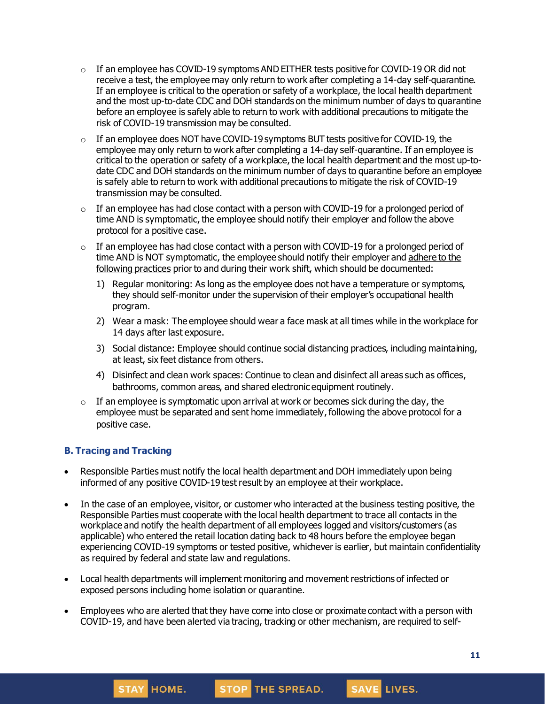- $\circ$  If an employee has COVID-19 symptoms AND EITHER tests positive for COVID-19 OR did not receive a test, the employee may only [return](https://www.cdc.gov/coronavirus/2019-ncov/hcp/return-to-work.html) to work after completing a 14-day self-quarantine. If an employee is critical to the operation or safety of a workplace, the local health department and the most up-to-date CDC and DOH standards on the minimum number of days to quarantine before an employee is safely able to return to work with additional precautions to mitigate the risk of COVID-19 transmission may be consulted.
- $\circ$  If an employee does NOT have COVID-19 symptoms BUT tests positive for COVID-19, the employee may only return to work after completing a 14-day self-quarantine. If an employee is critical to the operation or safety of a workplace, the local health department and the most up-todate CDC and DOH standards on the minimum number of days to quarantine before an employee is safely able to return to work with additional precautions to mitigate the risk of COVID-19 transmission may be consulted.
- $\circ$  If an employee has had close contact with a person with COVID-19 for a prolonged period of time AND is symptomatic, the employee should notify their employer and follow the above protocol for a positive case.
- $\circ$  If an employee has had close contact with a person with COVID-19 for a prolonged period of time AND is NOT symptomatic, the employee should notify their employer and [adhere](https://www.cdc.gov/coronavirus/2019-ncov/community/critical-workers/implementing-safety-practices.html) to the [following](https://www.cdc.gov/coronavirus/2019-ncov/community/critical-workers/implementing-safety-practices.html) practices prior to and during their work shift, which should be documented:
	- 1) Regular monitoring: As long as the employee does not have a temperature or symptoms, they should self-monitor under the supervision of their employer's occupational health program.
	- 2) Wear a mask: The employee should wear a face mask at all times while in the workplace for 14 days after last exposure.
	- 3) Social distance: Employee should continue social distancing practices, including maintaining, at least, six feet distance from others.
	- 4) Disinfect and clean work spaces: Continue to clean and disinfect all areas such as offices, bathrooms, common areas, and shared electronic equipment routinely.
- $\circ$  If an employee is symptomatic upon arrival at work or becomes sick during the day, the employee must be separated and sent home immediately, following the above protocol for a positive case.

### **B. Tracing and Tracking**

**STAY HOME.** 

- Responsible Parties must notify the local health department and DOH immediately upon being informed of any positive COVID-19 test result by an employee at their workplace.
- In the case of an employee, visitor, or customer who interacted at the business testing positive, the Responsible Parties must cooperate with the local health department to trace all contacts in the workplace and notify the health department of all employees logged and visitors/customers (as applicable) who entered the retail location dating back to 48 hours before the employee began experiencing COVID-19 symptoms or tested positive, whichever is earlier, but maintain confidentiality as required by federal and state law and regulations.
- Local health departments will implement monitoring and movement restrictions of infected or exposed persons including home isolation or quarantine.
- Employees who are alerted that they have come into close or proximate contact with a person with COVID-19, and have been alerted via tracing, tracking or other mechanism, are required to self-

STOP THE SPREAD.

**11**